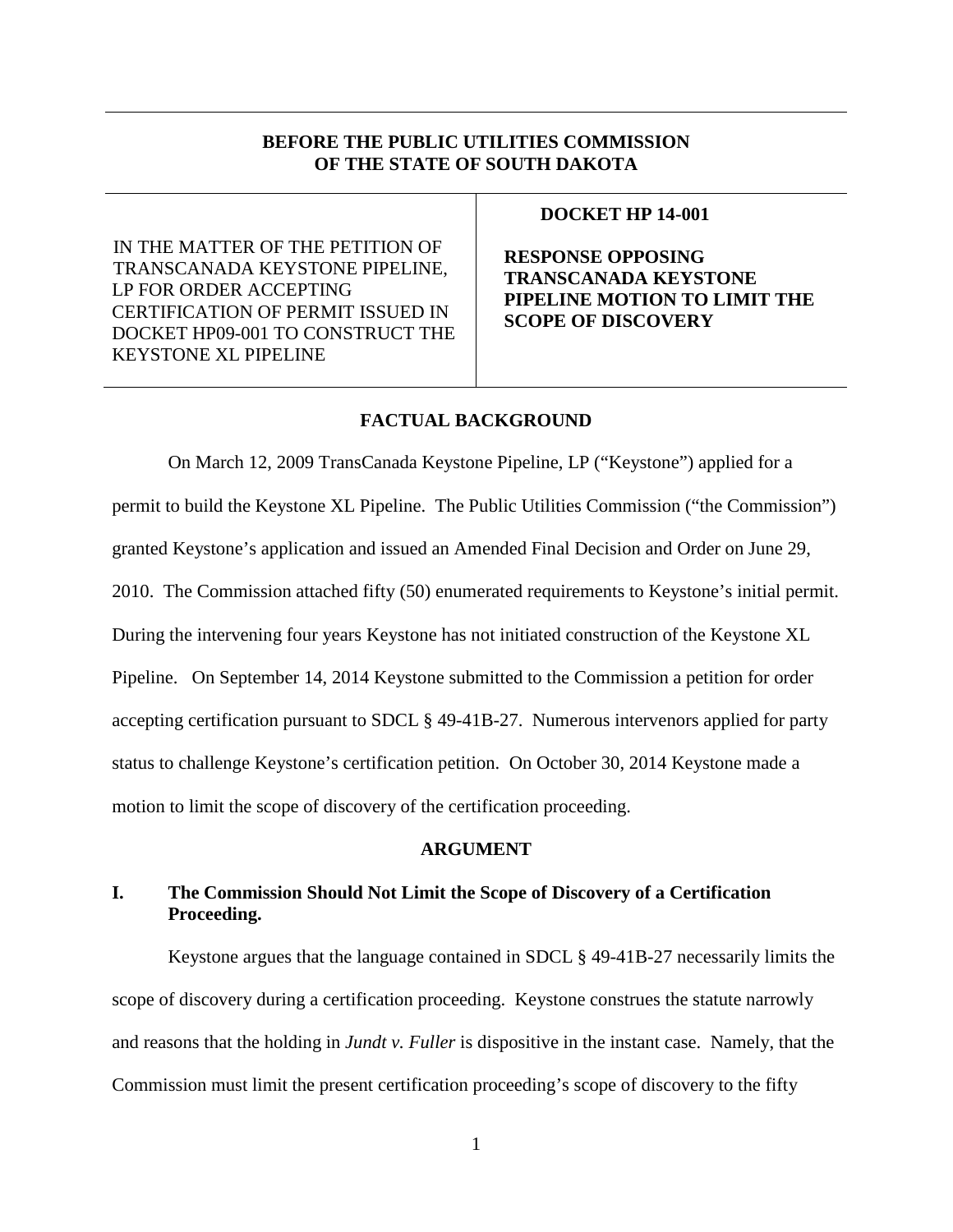# **BEFORE THE PUBLIC UTILITIES COMMISSION OF THE STATE OF SOUTH DAKOTA**

IN THE MATTER OF THE PETITION OF TRANSCANADA KEYSTONE PIPELINE, LP FOR ORDER ACCEPTING CERTIFICATION OF PERMIT ISSUED IN DOCKET HP09-001 TO CONSTRUCT THE KEYSTONE XL PIPELINE

### **DOCKET HP 14-001**

**RESPONSE OPPOSING TRANSCANADA KEYSTONE PIPELINE MOTION TO LIMIT THE SCOPE OF DISCOVERY**

# **FACTUAL BACKGROUND**

On March 12, 2009 TransCanada Keystone Pipeline, LP ("Keystone") applied for a permit to build the Keystone XL Pipeline. The Public Utilities Commission ("the Commission") granted Keystone's application and issued an Amended Final Decision and Order on June 29, 2010. The Commission attached fifty (50) enumerated requirements to Keystone's initial permit. During the intervening four years Keystone has not initiated construction of the Keystone XL Pipeline. On September 14, 2014 Keystone submitted to the Commission a petition for order accepting certification pursuant to SDCL § 49-41B-27. Numerous intervenors applied for party status to challenge Keystone's certification petition. On October 30, 2014 Keystone made a motion to limit the scope of discovery of the certification proceeding.

### **ARGUMENT**

# **I. The Commission Should Not Limit the Scope of Discovery of a Certification Proceeding.**

Keystone argues that the language contained in SDCL § 49-41B-27 necessarily limits the scope of discovery during a certification proceeding. Keystone construes the statute narrowly and reasons that the holding in *Jundt v. Fuller* is dispositive in the instant case. Namely, that the Commission must limit the present certification proceeding's scope of discovery to the fifty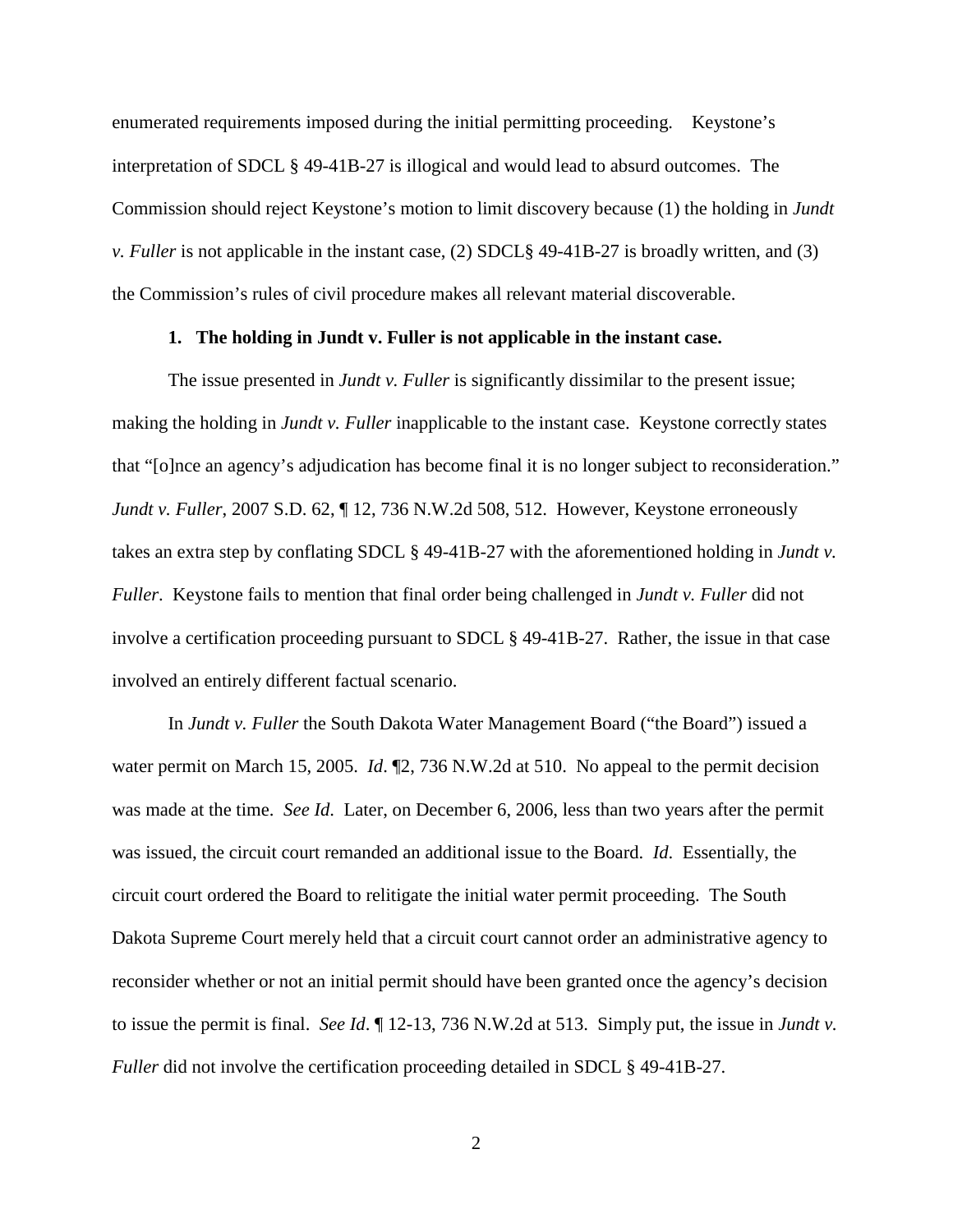enumerated requirements imposed during the initial permitting proceeding. Keystone's interpretation of SDCL § 49-41B-27 is illogical and would lead to absurd outcomes. The Commission should reject Keystone's motion to limit discovery because (1) the holding in *Jundt v. Fuller* is not applicable in the instant case, (2) SDCL§ 49-41B-27 is broadly written, and (3) the Commission's rules of civil procedure makes all relevant material discoverable.

### **1. The holding in Jundt v. Fuller is not applicable in the instant case.**

The issue presented in *Jundt v. Fuller* is significantly dissimilar to the present issue; making the holding in *Jundt v. Fuller* inapplicable to the instant case. Keystone correctly states that "[o]nce an agency's adjudication has become final it is no longer subject to reconsideration." *Jundt v. Fuller*, 2007 S.D. 62, ¶ 12, 736 N.W.2d 508, 512. However, Keystone erroneously takes an extra step by conflating SDCL § 49-41B-27 with the aforementioned holding in *Jundt v. Fuller*. Keystone fails to mention that final order being challenged in *Jundt v. Fuller* did not involve a certification proceeding pursuant to SDCL § 49-41B-27. Rather, the issue in that case involved an entirely different factual scenario.

In *Jundt v. Fuller* the South Dakota Water Management Board ("the Board") issued a water permit on March 15, 2005. *Id*. ¶2, 736 N.W.2d at 510. No appeal to the permit decision was made at the time. *See Id*. Later, on December 6, 2006, less than two years after the permit was issued, the circuit court remanded an additional issue to the Board. *Id*. Essentially, the circuit court ordered the Board to relitigate the initial water permit proceeding. The South Dakota Supreme Court merely held that a circuit court cannot order an administrative agency to reconsider whether or not an initial permit should have been granted once the agency's decision to issue the permit is final. *See Id*. ¶ 12-13, 736 N.W.2d at 513. Simply put, the issue in *Jundt v. Fuller* did not involve the certification proceeding detailed in SDCL § 49-41B-27.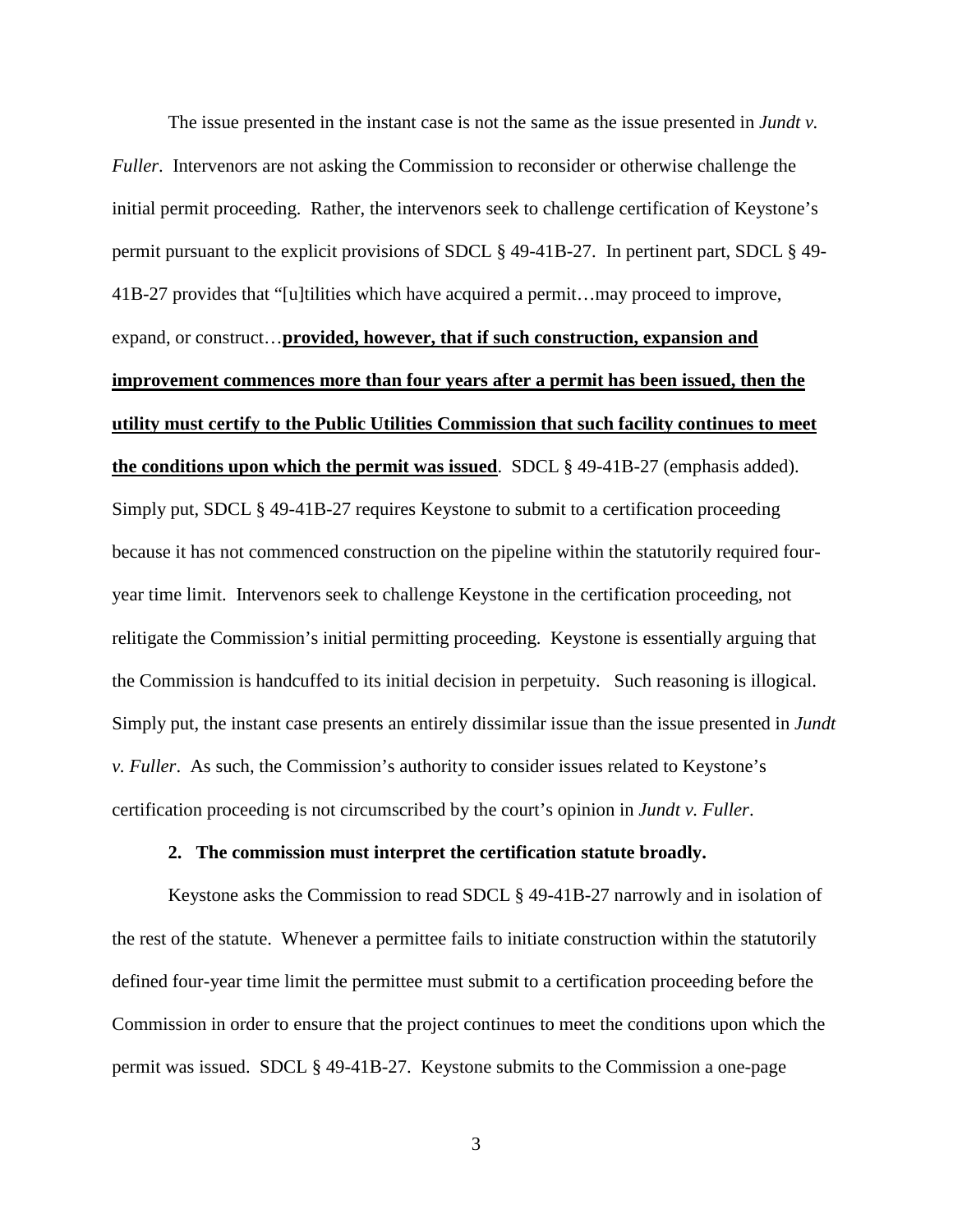The issue presented in the instant case is not the same as the issue presented in *Jundt v. Fuller*. Intervenors are not asking the Commission to reconsider or otherwise challenge the initial permit proceeding. Rather, the intervenors seek to challenge certification of Keystone's permit pursuant to the explicit provisions of SDCL § 49-41B-27. In pertinent part, SDCL § 49- 41B-27 provides that "[u]tilities which have acquired a permit…may proceed to improve, expand, or construct…**provided, however, that if such construction, expansion and improvement commences more than four years after a permit has been issued, then the utility must certify to the Public Utilities Commission that such facility continues to meet the conditions upon which the permit was issued**. SDCL § 49-41B-27 (emphasis added). Simply put, SDCL § 49-41B-27 requires Keystone to submit to a certification proceeding because it has not commenced construction on the pipeline within the statutorily required fouryear time limit. Intervenors seek to challenge Keystone in the certification proceeding, not relitigate the Commission's initial permitting proceeding. Keystone is essentially arguing that the Commission is handcuffed to its initial decision in perpetuity. Such reasoning is illogical. Simply put, the instant case presents an entirely dissimilar issue than the issue presented in *Jundt v. Fuller*. As such, the Commission's authority to consider issues related to Keystone's certification proceeding is not circumscribed by the court's opinion in *Jundt v. Fuller*.

#### **2. The commission must interpret the certification statute broadly.**

Keystone asks the Commission to read SDCL § 49-41B-27 narrowly and in isolation of the rest of the statute. Whenever a permittee fails to initiate construction within the statutorily defined four-year time limit the permittee must submit to a certification proceeding before the Commission in order to ensure that the project continues to meet the conditions upon which the permit was issued. SDCL § 49-41B-27. Keystone submits to the Commission a one-page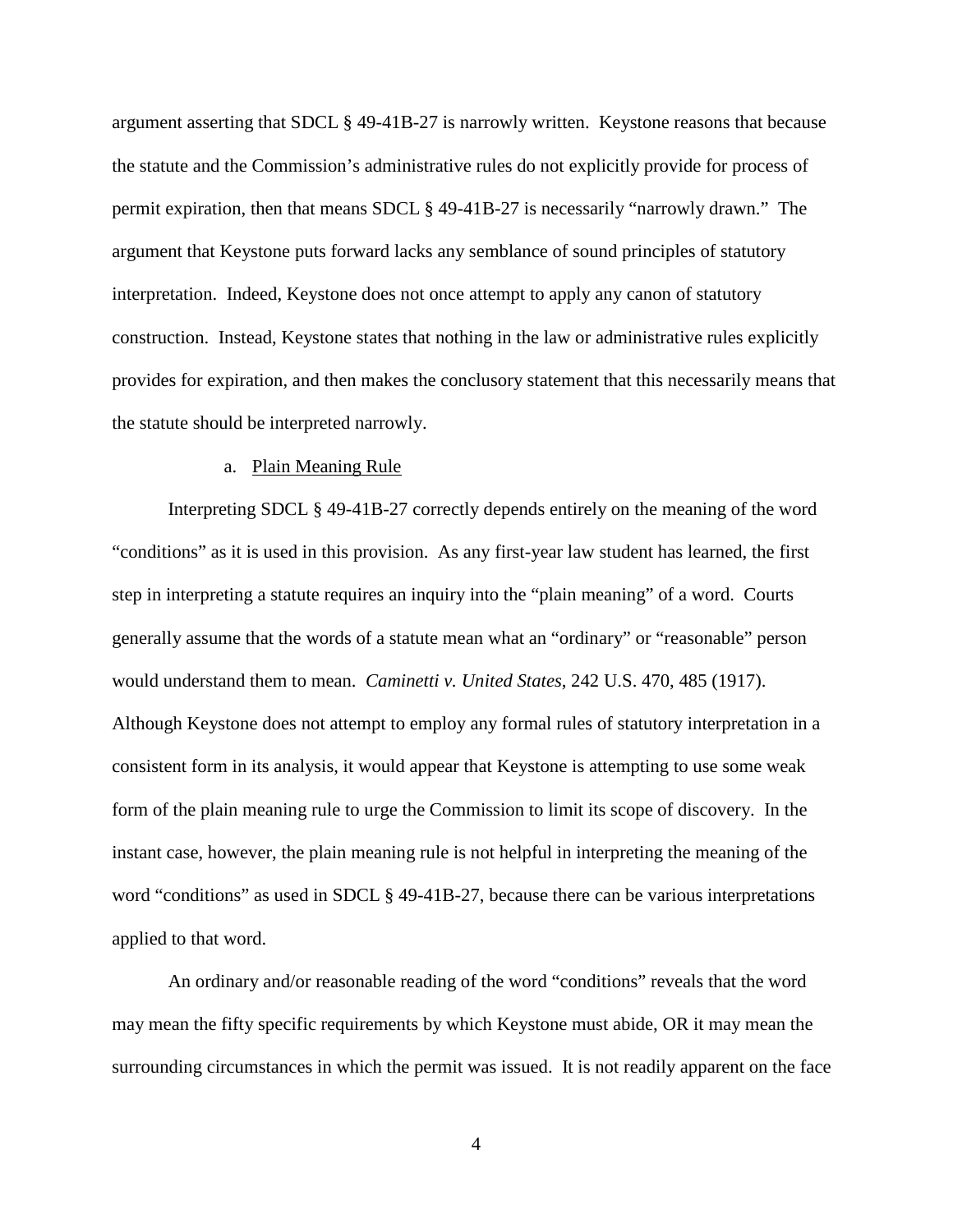argument asserting that SDCL § 49-41B-27 is narrowly written. Keystone reasons that because the statute and the Commission's administrative rules do not explicitly provide for process of permit expiration, then that means SDCL § 49-41B-27 is necessarily "narrowly drawn." The argument that Keystone puts forward lacks any semblance of sound principles of statutory interpretation. Indeed, Keystone does not once attempt to apply any canon of statutory construction. Instead, Keystone states that nothing in the law or administrative rules explicitly provides for expiration, and then makes the conclusory statement that this necessarily means that the statute should be interpreted narrowly.

### a. Plain Meaning Rule

Interpreting SDCL § 49-41B-27 correctly depends entirely on the meaning of the word "conditions" as it is used in this provision. As any first-year law student has learned, the first step in interpreting a statute requires an inquiry into the "plain meaning" of a word. Courts generally assume that the words of a statute mean what an "ordinary" or "reasonable" person would understand them to mean. *Caminetti v. United States*, 242 U.S. 470, 485 (1917). Although Keystone does not attempt to employ any formal rules of statutory interpretation in a consistent form in its analysis, it would appear that Keystone is attempting to use some weak form of the plain meaning rule to urge the Commission to limit its scope of discovery. In the instant case, however, the plain meaning rule is not helpful in interpreting the meaning of the word "conditions" as used in SDCL § 49-41B-27, because there can be various interpretations applied to that word.

An ordinary and/or reasonable reading of the word "conditions" reveals that the word may mean the fifty specific requirements by which Keystone must abide, OR it may mean the surrounding circumstances in which the permit was issued. It is not readily apparent on the face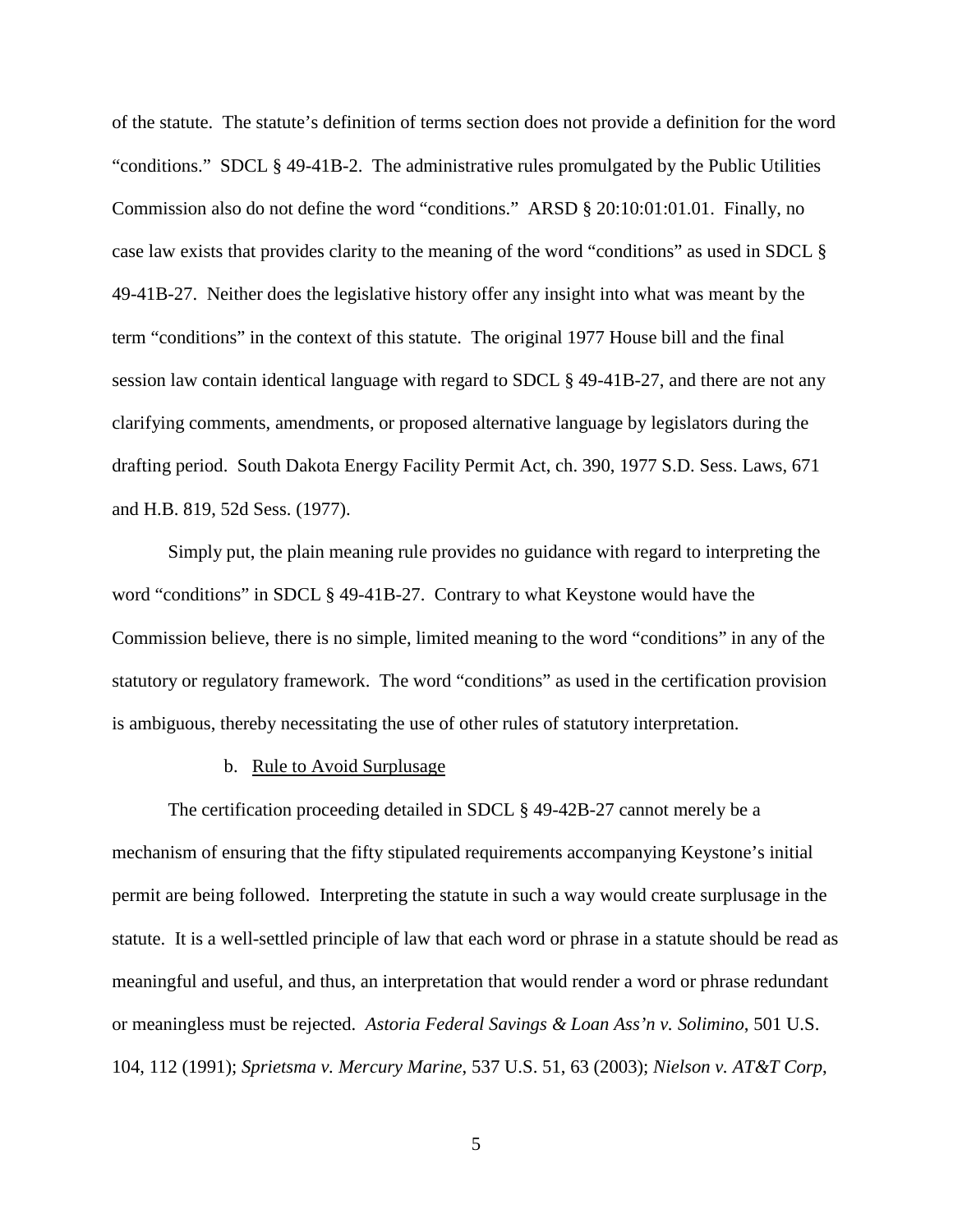of the statute. The statute's definition of terms section does not provide a definition for the word "conditions." SDCL § 49-41B-2. The administrative rules promulgated by the Public Utilities Commission also do not define the word "conditions." ARSD § 20:10:01:01.01. Finally, no case law exists that provides clarity to the meaning of the word "conditions" as used in SDCL § 49-41B-27. Neither does the legislative history offer any insight into what was meant by the term "conditions" in the context of this statute. The original 1977 House bill and the final session law contain identical language with regard to SDCL § 49-41B-27, and there are not any clarifying comments, amendments, or proposed alternative language by legislators during the drafting period. South Dakota Energy Facility Permit Act, ch. 390, 1977 S.D. Sess. Laws, 671 and H.B. 819, 52d Sess. (1977).

Simply put, the plain meaning rule provides no guidance with regard to interpreting the word "conditions" in SDCL § 49-41B-27. Contrary to what Keystone would have the Commission believe, there is no simple, limited meaning to the word "conditions" in any of the statutory or regulatory framework. The word "conditions" as used in the certification provision is ambiguous, thereby necessitating the use of other rules of statutory interpretation.

### b. Rule to Avoid Surplusage

The certification proceeding detailed in SDCL § 49-42B-27 cannot merely be a mechanism of ensuring that the fifty stipulated requirements accompanying Keystone's initial permit are being followed. Interpreting the statute in such a way would create surplusage in the statute. It is a well-settled principle of law that each word or phrase in a statute should be read as meaningful and useful, and thus, an interpretation that would render a word or phrase redundant or meaningless must be rejected. *Astoria Federal Savings & Loan Ass'n v. Solimino*, 501 U.S. 104, 112 (1991); *Sprietsma v. Mercury Marine*, 537 U.S. 51, 63 (2003); *Nielson v. AT&T Corp*,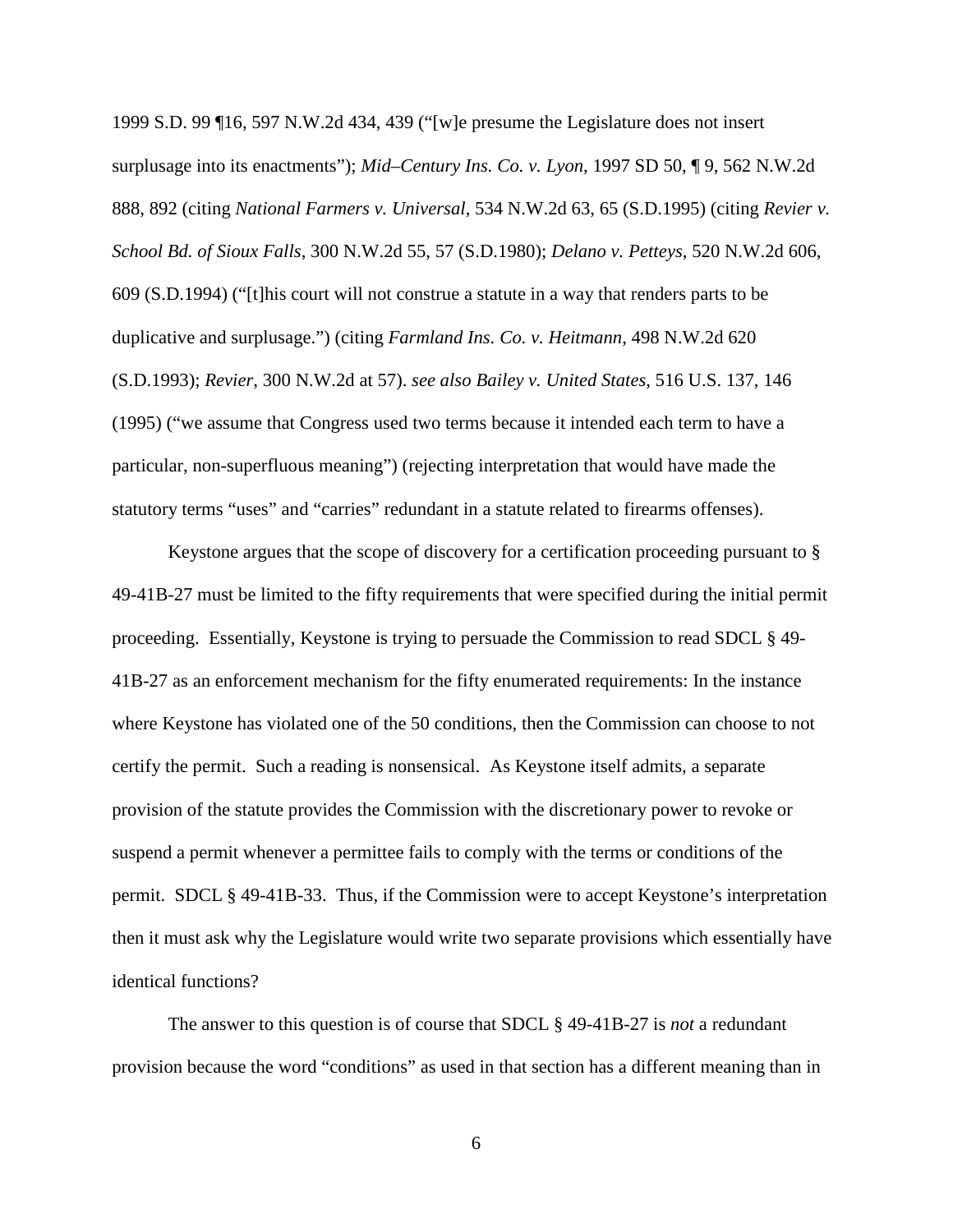1999 S.D. 99 ¶16, 597 N.W.2d 434, 439 ("[w]e presume the Legislature does not insert surplusage into its enactments"); *Mid–Century Ins. Co. v. Lyon*, 1997 SD 50, ¶ 9, 562 N.W.2d 888, 892 (citing *National Farmers v. Universal*, 534 N.W.2d 63, 65 (S.D.1995) (citing *Revier v. School Bd. of Sioux Falls*, 300 N.W.2d 55, 57 (S.D.1980); *Delano v. Petteys*, 520 N.W.2d 606, 609 (S.D.1994) ("[t]his court will not construe a statute in a way that renders parts to be duplicative and surplusage.") (citing *Farmland Ins. Co. v. Heitmann*, 498 N.W.2d 620 (S.D.1993); *Revier*, 300 N.W.2d at 57). *see also Bailey v. United States*, 516 U.S. 137, 146 (1995) ("we assume that Congress used two terms because it intended each term to have a particular, non-superfluous meaning") (rejecting interpretation that would have made the statutory terms "uses" and "carries" redundant in a statute related to firearms offenses).

Keystone argues that the scope of discovery for a certification proceeding pursuant to § 49-41B-27 must be limited to the fifty requirements that were specified during the initial permit proceeding. Essentially, Keystone is trying to persuade the Commission to read SDCL § 49- 41B-27 as an enforcement mechanism for the fifty enumerated requirements: In the instance where Keystone has violated one of the 50 conditions, then the Commission can choose to not certify the permit. Such a reading is nonsensical. As Keystone itself admits, a separate provision of the statute provides the Commission with the discretionary power to revoke or suspend a permit whenever a permittee fails to comply with the terms or conditions of the permit. SDCL § 49-41B-33. Thus, if the Commission were to accept Keystone's interpretation then it must ask why the Legislature would write two separate provisions which essentially have identical functions?

The answer to this question is of course that SDCL § 49-41B-27 is *not* a redundant provision because the word "conditions" as used in that section has a different meaning than in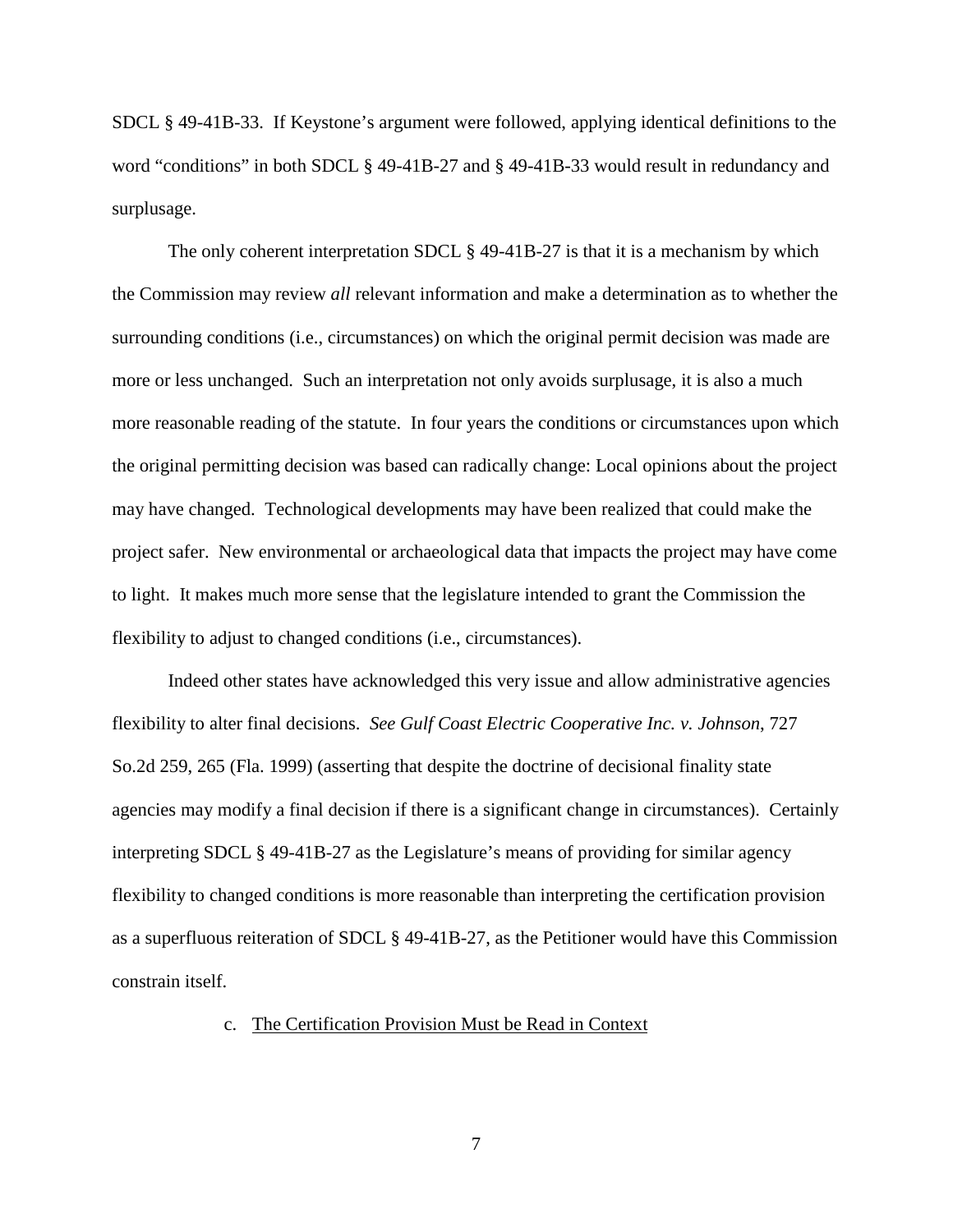SDCL § 49-41B-33. If Keystone's argument were followed, applying identical definitions to the word "conditions" in both SDCL § 49-41B-27 and § 49-41B-33 would result in redundancy and surplusage.

The only coherent interpretation SDCL § 49-41B-27 is that it is a mechanism by which the Commission may review *all* relevant information and make a determination as to whether the surrounding conditions (i.e., circumstances) on which the original permit decision was made are more or less unchanged. Such an interpretation not only avoids surplusage, it is also a much more reasonable reading of the statute. In four years the conditions or circumstances upon which the original permitting decision was based can radically change: Local opinions about the project may have changed. Technological developments may have been realized that could make the project safer. New environmental or archaeological data that impacts the project may have come to light. It makes much more sense that the legislature intended to grant the Commission the flexibility to adjust to changed conditions (i.e., circumstances).

Indeed other states have acknowledged this very issue and allow administrative agencies flexibility to alter final decisions. *See Gulf Coast Electric Cooperative Inc. v. Johnson*, 727 So.2d 259, 265 (Fla. 1999) (asserting that despite the doctrine of decisional finality state agencies may modify a final decision if there is a significant change in circumstances). Certainly interpreting SDCL § 49-41B-27 as the Legislature's means of providing for similar agency flexibility to changed conditions is more reasonable than interpreting the certification provision as a superfluous reiteration of SDCL § 49-41B-27, as the Petitioner would have this Commission constrain itself.

### c. The Certification Provision Must be Read in Context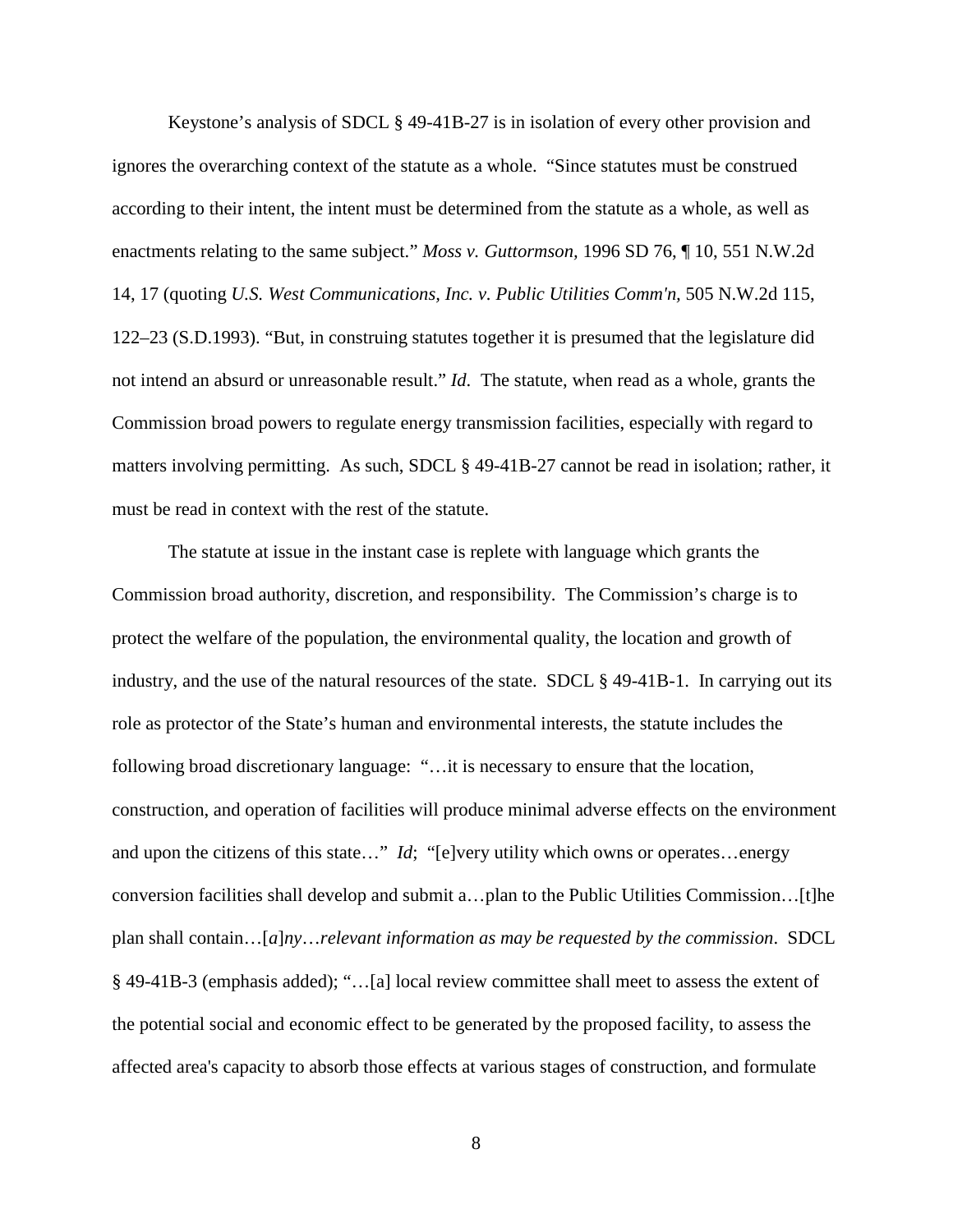Keystone's analysis of SDCL § 49-41B-27 is in isolation of every other provision and ignores the overarching context of the statute as a whole. "Since statutes must be construed according to their intent, the intent must be determined from the statute as a whole, as well as enactments relating to the same subject." *[Moss v. Guttormson,](http://www.westlaw.com/Find/Default.wl?rs=dfa1.0&vr=2.0&DB=595&FindType=Y&ReferencePositionType=S&SerialNum=1996143428&ReferencePosition=17)* [1996 SD 76, ¶ 10, 551 N.W.2d](http://www.westlaw.com/Find/Default.wl?rs=dfa1.0&vr=2.0&DB=595&FindType=Y&ReferencePositionType=S&SerialNum=1996143428&ReferencePosition=17)  [14, 17](http://www.westlaw.com/Find/Default.wl?rs=dfa1.0&vr=2.0&DB=595&FindType=Y&ReferencePositionType=S&SerialNum=1996143428&ReferencePosition=17) (quoting *[U.S. West Communications, Inc. v. Public Utilities Comm'n,](http://www.westlaw.com/Find/Default.wl?rs=dfa1.0&vr=2.0&DB=595&FindType=Y&ReferencePositionType=S&SerialNum=1993160619&ReferencePosition=122)* [505 N.W.2d 115,](http://www.westlaw.com/Find/Default.wl?rs=dfa1.0&vr=2.0&DB=595&FindType=Y&ReferencePositionType=S&SerialNum=1993160619&ReferencePosition=122)  [122–23 \(S.D.1993\).](http://www.westlaw.com/Find/Default.wl?rs=dfa1.0&vr=2.0&DB=595&FindType=Y&ReferencePositionType=S&SerialNum=1993160619&ReferencePosition=122) "But, in construing statutes together it is presumed that the legislature did not intend an absurd or unreasonable result." *Id*. The statute, when read as a whole, grants the Commission broad powers to regulate energy transmission facilities, especially with regard to matters involving permitting. As such, SDCL § 49-41B-27 cannot be read in isolation; rather, it must be read in context with the rest of the statute.

The statute at issue in the instant case is replete with language which grants the Commission broad authority, discretion, and responsibility. The Commission's charge is to protect the welfare of the population, the environmental quality, the location and growth of industry, and the use of the natural resources of the state. SDCL § 49-41B-1. In carrying out its role as protector of the State's human and environmental interests, the statute includes the following broad discretionary language: "…it is necessary to ensure that the location, construction, and operation of facilities will produce minimal adverse effects on the environment and upon the citizens of this state…" *Id*; "[e]very utility which owns or operates…energy conversion facilities shall develop and submit a…plan to the Public Utilities Commission…[t]he plan shall contain…[*a*]*ny*…*relevant information as may be requested by the commission*. SDCL § 49-41B-3 (emphasis added); "…[a] local review committee shall meet to assess the extent of the potential social and economic effect to be generated by the proposed facility, to assess the affected area's capacity to absorb those effects at various stages of construction, and formulate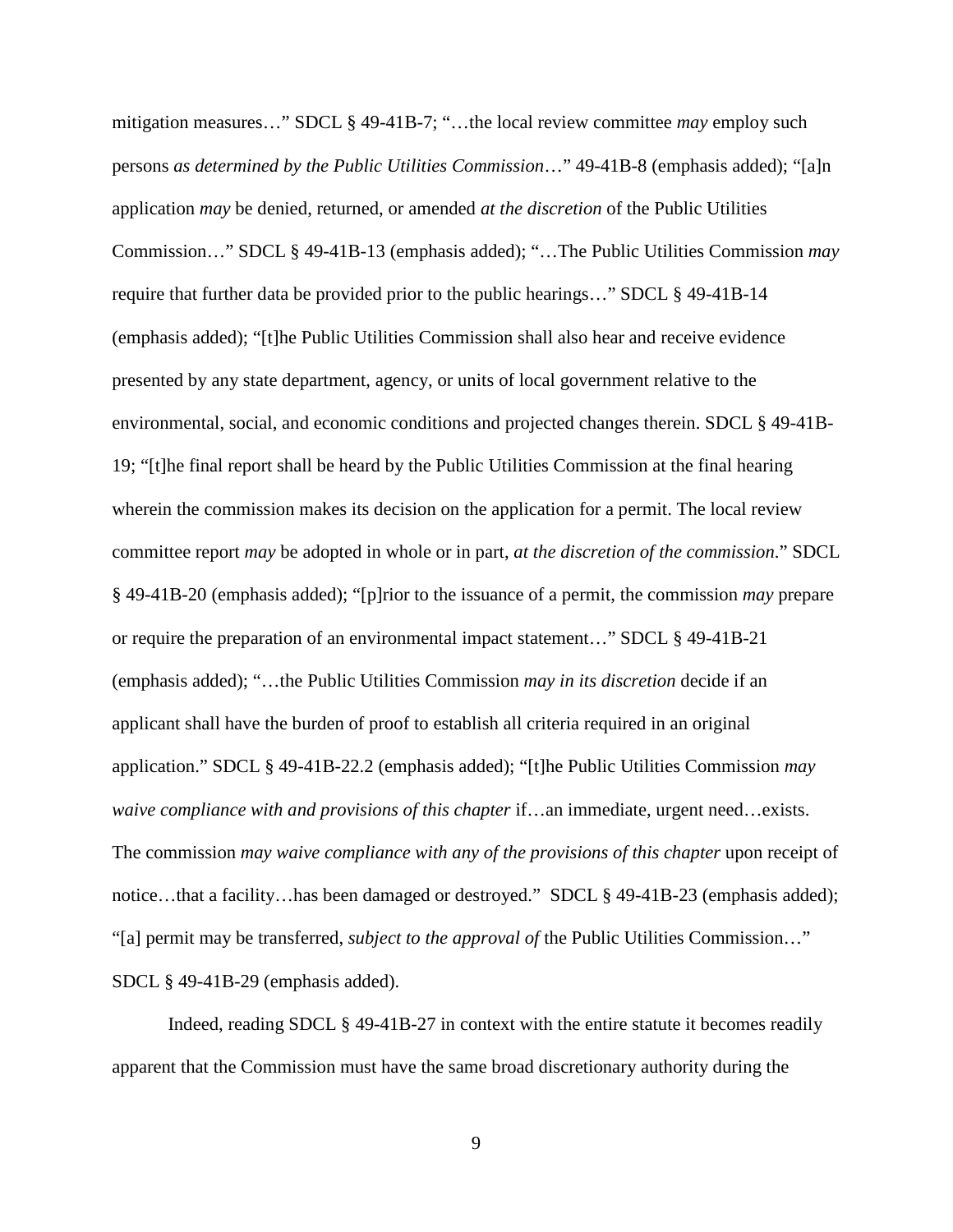mitigation measures…" SDCL § 49-41B-7; "…the local review committee *may* employ such persons *as determined by the Public Utilities Commission*…" 49-41B-8 (emphasis added); "[a]n application *may* be denied, returned, or amended *at the discretion* of the Public Utilities Commission…" SDCL § 49-41B-13 (emphasis added); "…The Public Utilities Commission *may* require that further data be provided prior to the public hearings…" SDCL § 49-41B-14 (emphasis added); "[t]he Public Utilities Commission shall also hear and receive evidence presented by any state department, agency, or units of local government relative to the environmental, social, and economic conditions and projected changes therein. SDCL § 49-41B-19; "[t]he final report shall be heard by the Public Utilities Commission at the final hearing wherein the commission makes its decision on the application for a permit. The local review committee report *may* be adopted in whole or in part, *at the discretion of the commission*." SDCL § 49-41B-20 (emphasis added); "[p]rior to the issuance of a permit, the commission *may* prepare or require the preparation of an environmental impact statement…" SDCL § 49-41B-21 (emphasis added); "…the Public Utilities Commission *may in its discretion* decide if an applicant shall have the burden of proof to establish all criteria required in an original application." SDCL § 49-41B-22.2 (emphasis added); "[t]he Public Utilities Commission *may waive compliance with and provisions of this chapter* if…an immediate, urgent need…exists. The commission *may waive compliance with any of the provisions of this chapter* upon receipt of notice…that a facility…has been damaged or destroyed." SDCL § 49-41B-23 (emphasis added); "[a] permit may be transferred, *subject to the approval of* the Public Utilities Commission…" SDCL § 49-41B-29 (emphasis added).

Indeed, reading SDCL § 49-41B-27 in context with the entire statute it becomes readily apparent that the Commission must have the same broad discretionary authority during the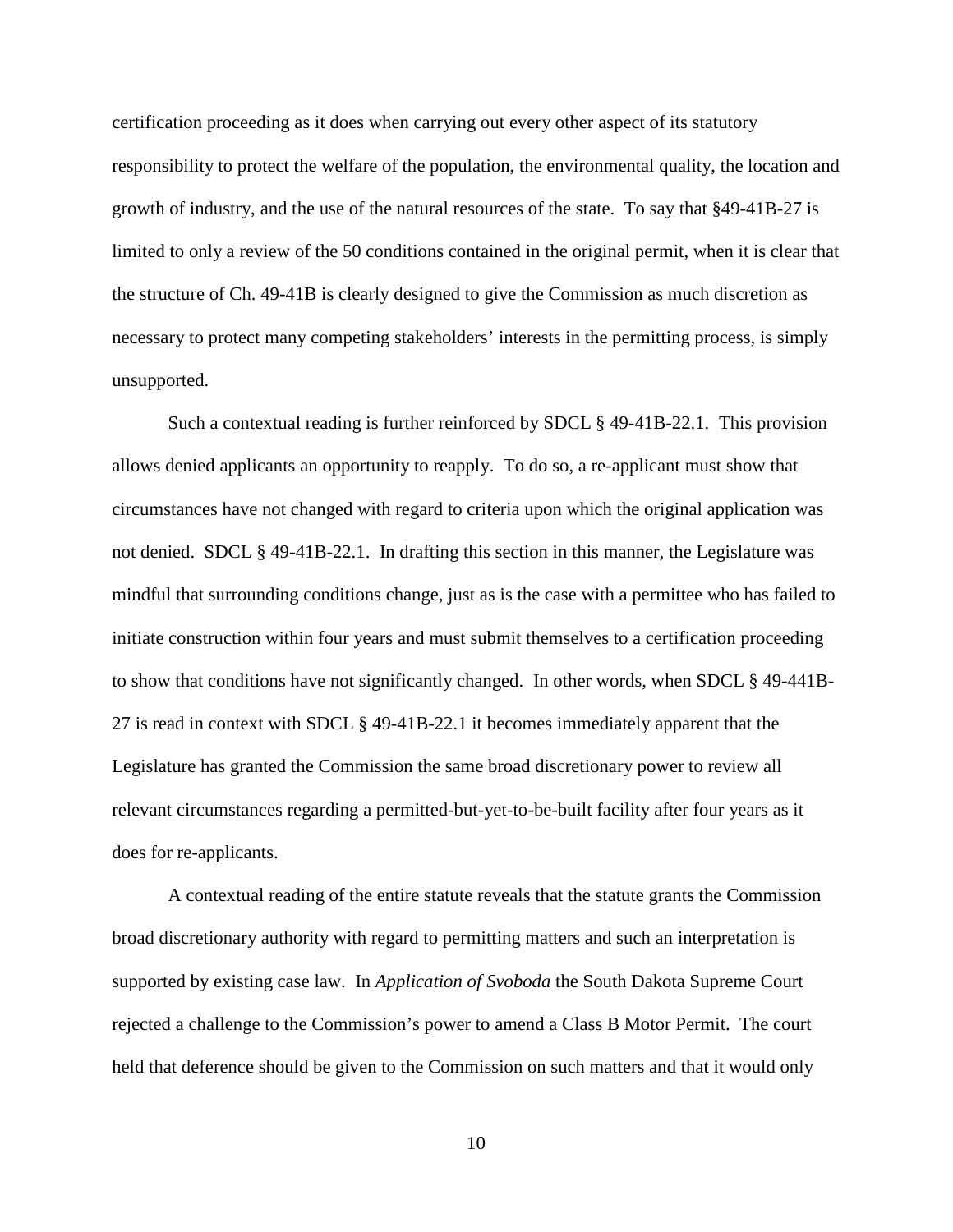certification proceeding as it does when carrying out every other aspect of its statutory responsibility to protect the welfare of the population, the environmental quality, the location and growth of industry, and the use of the natural resources of the state. To say that §49-41B-27 is limited to only a review of the 50 conditions contained in the original permit, when it is clear that the structure of Ch. 49-41B is clearly designed to give the Commission as much discretion as necessary to protect many competing stakeholders' interests in the permitting process, is simply unsupported.

Such a contextual reading is further reinforced by SDCL § 49-41B-22.1. This provision allows denied applicants an opportunity to reapply. To do so, a re-applicant must show that circumstances have not changed with regard to criteria upon which the original application was not denied. SDCL § 49-41B-22.1. In drafting this section in this manner, the Legislature was mindful that surrounding conditions change, just as is the case with a permittee who has failed to initiate construction within four years and must submit themselves to a certification proceeding to show that conditions have not significantly changed. In other words, when SDCL § 49-441B-27 is read in context with SDCL § 49-41B-22.1 it becomes immediately apparent that the Legislature has granted the Commission the same broad discretionary power to review all relevant circumstances regarding a permitted-but-yet-to-be-built facility after four years as it does for re-applicants.

A contextual reading of the entire statute reveals that the statute grants the Commission broad discretionary authority with regard to permitting matters and such an interpretation is supported by existing case law. In *Application of Svoboda* the South Dakota Supreme Court rejected a challenge to the Commission's power to amend a Class B Motor Permit. The court held that deference should be given to the Commission on such matters and that it would only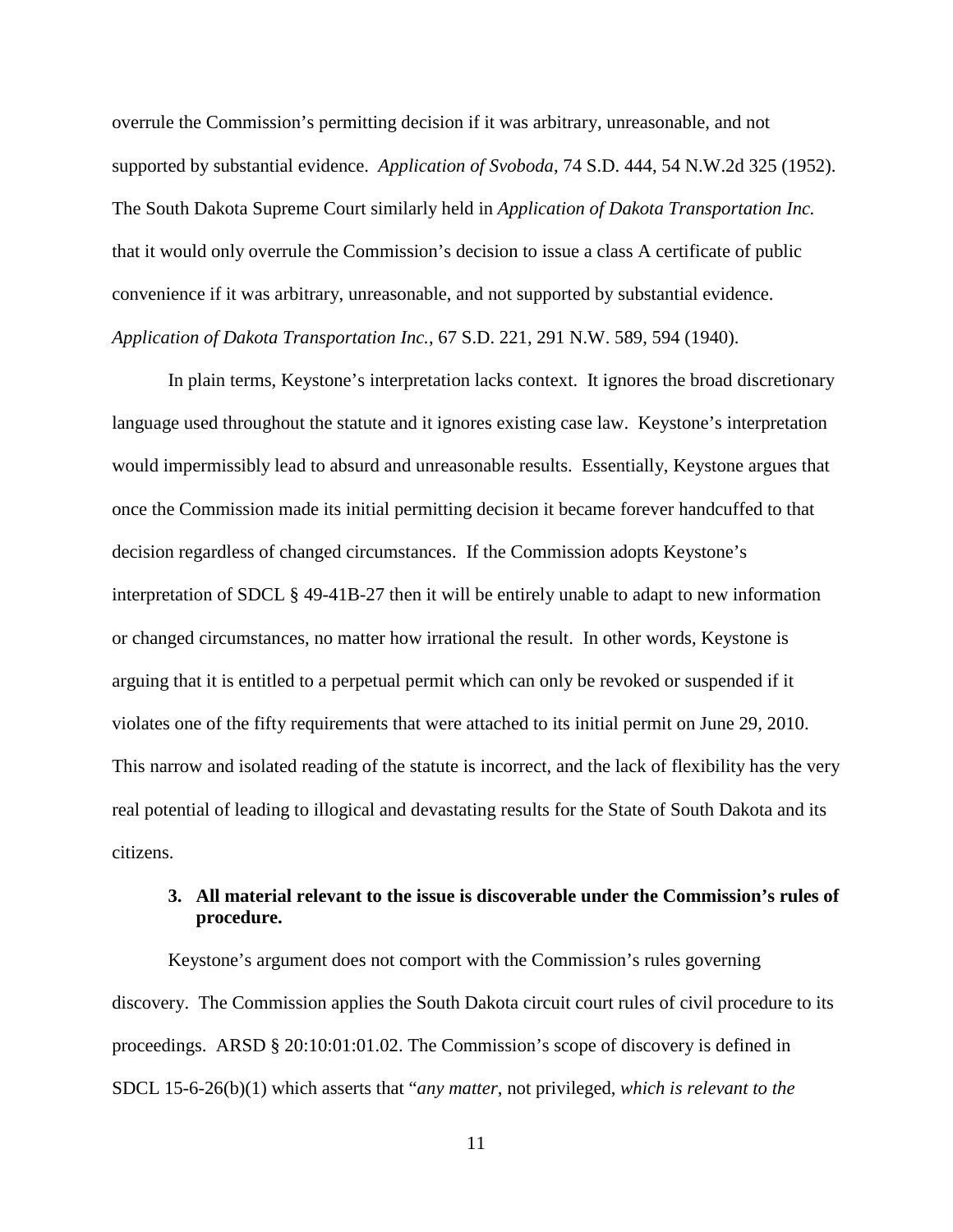overrule the Commission's permitting decision if it was arbitrary, unreasonable, and not supported by substantial evidence. *Application of Svoboda*, 74 S.D. 444, 54 N.W.2d 325 (1952). The South Dakota Supreme Court similarly held in *Application of Dakota Transportation Inc.*  that it would only overrule the Commission's decision to issue a class A certificate of public convenience if it was arbitrary, unreasonable, and not supported by substantial evidence. *Application of Dakota Transportation Inc.*, 67 S.D. 221, 291 N.W. 589, 594 (1940).

In plain terms, Keystone's interpretation lacks context. It ignores the broad discretionary language used throughout the statute and it ignores existing case law. Keystone's interpretation would impermissibly lead to absurd and unreasonable results. Essentially, Keystone argues that once the Commission made its initial permitting decision it became forever handcuffed to that decision regardless of changed circumstances. If the Commission adopts Keystone's interpretation of SDCL § 49-41B-27 then it will be entirely unable to adapt to new information or changed circumstances, no matter how irrational the result. In other words, Keystone is arguing that it is entitled to a perpetual permit which can only be revoked or suspended if it violates one of the fifty requirements that were attached to its initial permit on June 29, 2010. This narrow and isolated reading of the statute is incorrect, and the lack of flexibility has the very real potential of leading to illogical and devastating results for the State of South Dakota and its citizens.

# **3. All material relevant to the issue is discoverable under the Commission's rules of procedure.**

Keystone's argument does not comport with the Commission's rules governing discovery. The Commission applies the South Dakota circuit court rules of civil procedure to its proceedings. ARSD § 20:10:01:01.02. The Commission's scope of discovery is defined in SDCL 15-6-26(b)(1) which asserts that "*any matter*, not privileged, *which is relevant to the*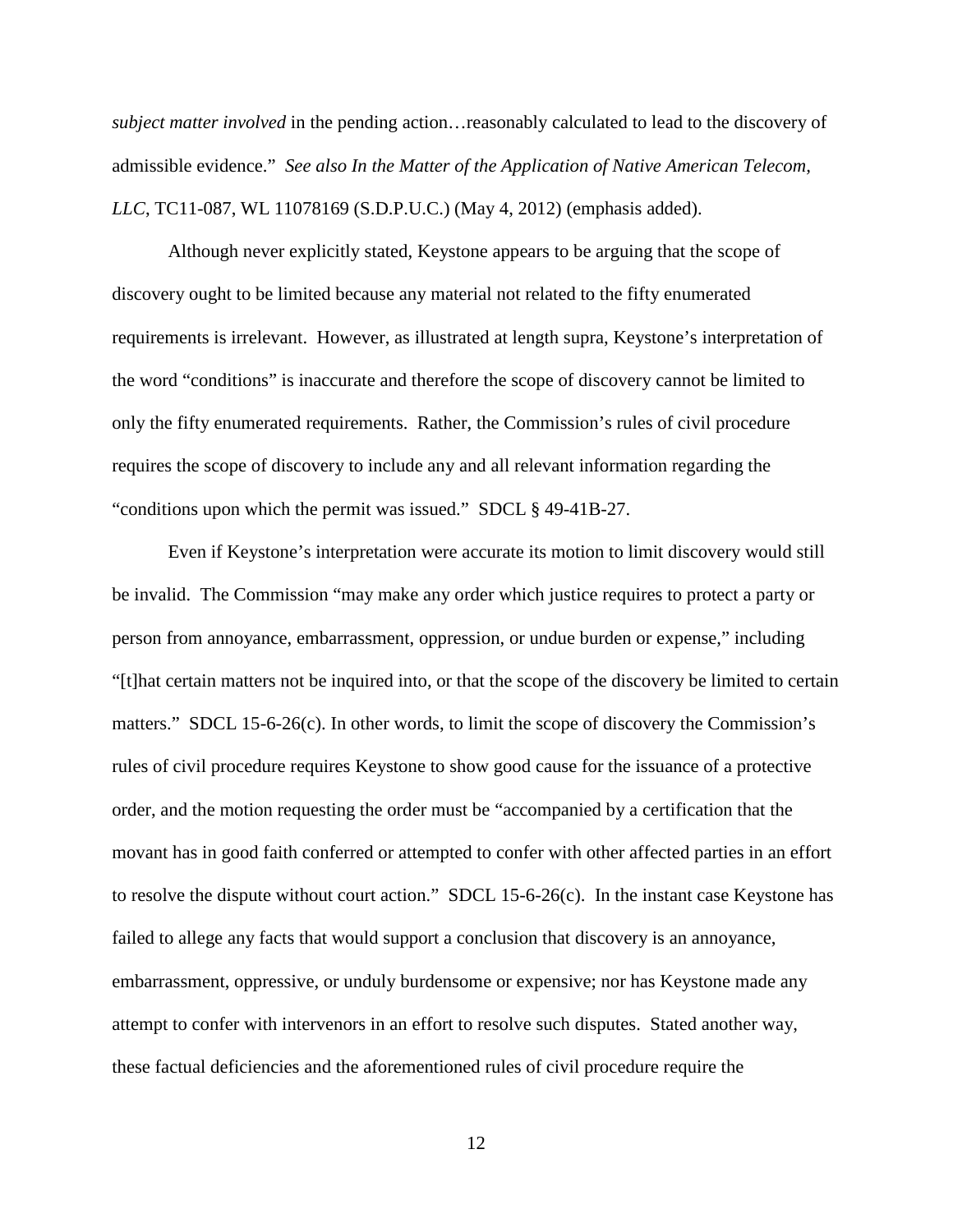*subject matter involved* in the pending action…reasonably calculated to lead to the discovery of admissible evidence." *See also In the Matter of the Application of Native American Telecom, LLC*, TC11-087, WL 11078169 (S.D.P.U.C.) (May 4, 2012) (emphasis added).

Although never explicitly stated, Keystone appears to be arguing that the scope of discovery ought to be limited because any material not related to the fifty enumerated requirements is irrelevant. However, as illustrated at length supra, Keystone's interpretation of the word "conditions" is inaccurate and therefore the scope of discovery cannot be limited to only the fifty enumerated requirements. Rather, the Commission's rules of civil procedure requires the scope of discovery to include any and all relevant information regarding the "conditions upon which the permit was issued." SDCL § 49-41B-27.

Even if Keystone's interpretation were accurate its motion to limit discovery would still be invalid. The Commission "may make any order which justice requires to protect a party or person from annoyance, embarrassment, oppression, or undue burden or expense," including "[t]hat certain matters not be inquired into, or that the scope of the discovery be limited to certain matters." SDCL 15-6-26(c). In other words, to limit the scope of discovery the Commission's rules of civil procedure requires Keystone to show good cause for the issuance of a protective order, and the motion requesting the order must be "accompanied by a certification that the movant has in good faith conferred or attempted to confer with other affected parties in an effort to resolve the dispute without court action." SDCL 15-6-26(c). In the instant case Keystone has failed to allege any facts that would support a conclusion that discovery is an annoyance, embarrassment, oppressive, or unduly burdensome or expensive; nor has Keystone made any attempt to confer with intervenors in an effort to resolve such disputes. Stated another way, these factual deficiencies and the aforementioned rules of civil procedure require the